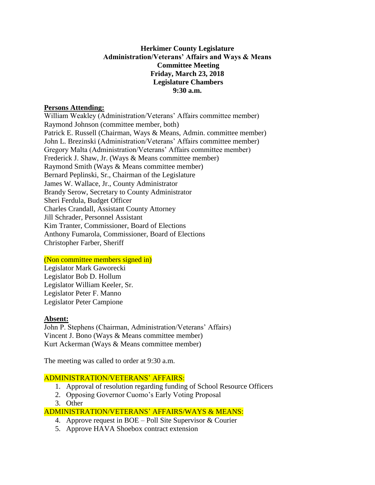## **Herkimer County Legislature Administration/Veterans' Affairs and Ways & Means Committee Meeting Friday, March 23, 2018 Legislature Chambers 9:30 a.m.**

#### **Persons Attending:**

William Weakley (Administration/Veterans' Affairs committee member) Raymond Johnson (committee member, both) Patrick E. Russell (Chairman, Ways & Means, Admin. committee member) John L. Brezinski (Administration/Veterans' Affairs committee member) Gregory Malta (Administration/Veterans' Affairs committee member) Frederick J. Shaw, Jr. (Ways & Means committee member) Raymond Smith (Ways & Means committee member) Bernard Peplinski, Sr., Chairman of the Legislature James W. Wallace, Jr., County Administrator Brandy Serow, Secretary to County Administrator Sheri Ferdula, Budget Officer Charles Crandall, Assistant County Attorney Jill Schrader, Personnel Assistant Kim Tranter, Commissioner, Board of Elections Anthony Fumarola, Commissioner, Board of Elections Christopher Farber, Sheriff

## (Non committee members signed in)

Legislator Mark Gaworecki Legislator Bob D. Hollum Legislator William Keeler, Sr. Legislator Peter F. Manno Legislator Peter Campione

## **Absent:**

John P. Stephens (Chairman, Administration/Veterans' Affairs) Vincent J. Bono (Ways & Means committee member) Kurt Ackerman (Ways & Means committee member)

The meeting was called to order at 9:30 a.m.

## ADMINISTRATION/VETERANS' AFFAIRS:

- 1. Approval of resolution regarding funding of School Resource Officers
- 2. Opposing Governor Cuomo's Early Voting Proposal
- 3. Other

# ADMINISTRATION/VETERANS' AFFAIRS/WAYS & MEANS:

- 4. Approve request in BOE Poll Site Supervisor & Courier
- 5. Approve HAVA Shoebox contract extension